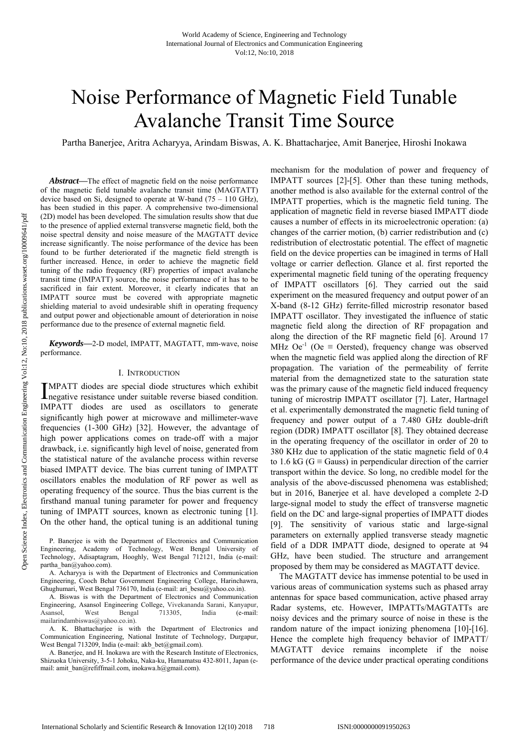# Noise Performance of Magnetic Field Tunable Avalanche Transit Time Source

Partha Banerjee, Aritra Acharyya, Arindam Biswas, A. K. Bhattacharjee, Amit Banerjee, Hiroshi Inokawa

*Abstract***—**The effect of magnetic field on the noise performance of the magnetic field tunable avalanche transit time (MAGTATT) device based on Si, designed to operate at W-band (75 – 110 GHz), has been studied in this paper. A comprehensive two-dimensional (2D) model has been developed. The simulation results show that due to the presence of applied external transverse magnetic field, both the noise spectral density and noise measure of the MAGTATT device increase significantly. The noise performance of the device has been found to be further deteriorated if the magnetic field strength is further increased. Hence, in order to achieve the magnetic field tuning of the radio frequency (RF) properties of impact avalanche transit time (IMPATT) source, the noise performance of it has to be sacrificed in fair extent. Moreover, it clearly indicates that an IMPATT source must be covered with appropriate magnetic shielding material to avoid undesirable shift in operating frequency and output power and objectionable amount of deterioration in noise performance due to the presence of external magnetic field.

*Keywords***—**2-D model, IMPATT, MAGTATT, mm-wave, noise performance.

#### I. INTRODUCTION

MPATT diodes are special diode structures which exhibit IMPATT diodes are special diode structures which exhibit hegative resistance under suitable reverse biased condition. IMPATT diodes are used as oscillators to generate significantly high power at microwave and millimeter-wave frequencies (1-300 GHz) [32]. However, the advantage of high power applications comes on trade-off with a major drawback, i.e. significantly high level of noise, generated from the statistical nature of the avalanche process within reverse biased IMPATT device. The bias current tuning of IMPATT oscillators enables the modulation of RF power as well as operating frequency of the source. Thus the bias current is the firsthand manual tuning parameter for power and frequency tuning of IMPATT sources, known as electronic tuning [1]. On the other hand, the optical tuning is an additional tuning

mechanism for the modulation of power and frequency of IMPATT sources [2]-[5]. Other than these tuning methods, another method is also available for the external control of the IMPATT properties, which is the magnetic field tuning. The application of magnetic field in reverse biased IMPATT diode causes a number of effects in its microelectronic operation: (a) changes of the carrier motion, (b) carrier redistribution and (c) redistribution of electrostatic potential. The effect of magnetic field on the device properties can be imagined in terms of Hall voltage or carrier deflection. Glance et al. first reported the experimental magnetic field tuning of the operating frequency of IMPATT oscillators [6]. They carried out the said experiment on the measured frequency and output power of an X-band (8-12 GHz) ferrite-filled microstrip resonator based IMPATT oscillator. They investigated the influence of static magnetic field along the direction of RF propagation and along the direction of the RF magnetic field [6]. Around 17 MHz  $\text{Oe}^{-1}$  ( $\text{Oe} \equiv \text{Oersted}$ ), frequency change was observed when the magnetic field was applied along the direction of RF propagation. The variation of the permeability of ferrite material from the demagnetized state to the saturation state was the primary cause of the magnetic field induced frequency tuning of microstrip IMPATT oscillator [7]. Later, Hartnagel et al. experimentally demonstrated the magnetic field tuning of frequency and power output of a 7.480 GHz double-drift region (DDR) IMPATT oscillator [8]. They obtained decrease in the operating frequency of the oscillator in order of 20 to 380 KHz due to application of the static magnetic field of 0.4 to 1.6 kG ( $G \equiv$  Gauss) in perpendicular direction of the carrier transport within the device. So long, no credible model for the analysis of the above-discussed phenomena was established; but in 2016, Banerjee et al. have developed a complete 2-D large-signal model to study the effect of transverse magnetic field on the DC and large-signal properties of IMPATT diodes [9]. The sensitivity of various static and large-signal parameters on externally applied transverse steady magnetic field of a DDR IMPATT diode, designed to operate at 94 GHz, have been studied. The structure and arrangement proposed by them may be considered as MAGTATT device.

The MAGTATT device has immense potential to be used in various areas of communication systems such as phased array antennas for space based communication, active phased array Radar systems, etc. However, IMPATTs/MAGTATTs are noisy devices and the primary source of noise in these is the random nature of the impact ionizing phenomena [10]-[16]. Hence the complete high frequency behavior of IMPATT/ MAGTATT device remains incomplete if the noise performance of the device under practical operating conditions

P. Banerjee is with the Department of Electronics and Communication Engineering, Academy of Technology, West Bengal University of Technology, Adisaptagram, Hooghly, West Bengal 712121, India (e-mail: partha\_ban@yahoo.com).

A. Acharyya is with the Department of Electronics and Communication Engineering, Cooch Behar Government Engineering College, Harinchawra, Ghughumari, West Bengal 736170, India (e-mail: ari besu@yahoo.co.in).

A. Biswas is with the Department of Electronics and Communication Engineering, Asansol Engineering College, Vivekananda Sarani, Kanyapur, Asansol, West Bengal 713305, India (e-mail: mailarindambiswas@yahoo.co.in).

A. K. Bhattacharjee is with the Department of Electronics and Communication Engineering, National Institute of Technology, Durgapur, West Bengal 713209, India (e-mail: akb\_bet@gmail.com).

A. Banerjee, and H. Inokawa are with the Research Institute of Electronics, Shizuoka University, 3-5-1 Johoku, Naka-ku, Hamamatsu 432-8011, Japan (email: amit\_ban@refiffmail.com, inokawa.h@gmail.com).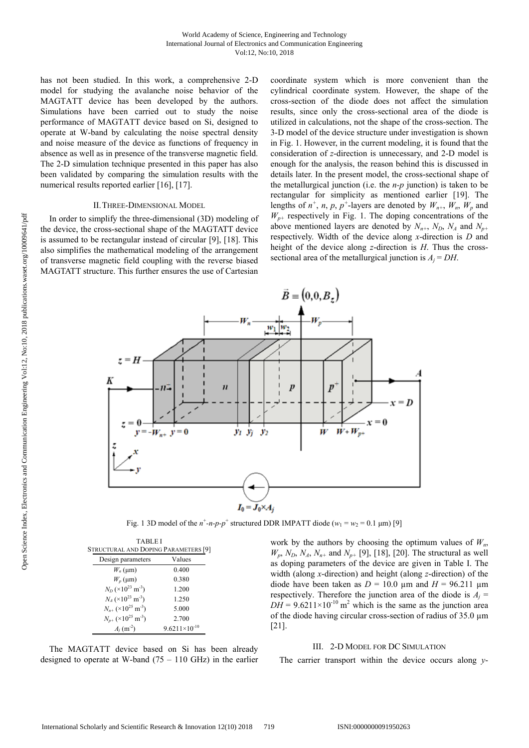has not been studied. In this work, a comprehensive 2-D model for studying the avalanche noise behavior of the MAGTATT device has been developed by the authors. Simulations have been carried out to study the noise performance of MAGTATT device based on Si, designed to operate at W-band by calculating the noise spectral density and noise measure of the device as functions of frequency in absence as well as in presence of the transverse magnetic field. The 2-D simulation technique presented in this paper has also been validated by comparing the simulation results with the numerical results reported earlier [16], [17].

### II.THREE-DIMENSIONAL MODEL

In order to simplify the three-dimensional (3D) modeling of the device, the cross-sectional shape of the MAGTATT device is assumed to be rectangular instead of circular [9], [18]. This also simplifies the mathematical modeling of the arrangement of transverse magnetic field coupling with the reverse biased MAGTATT structure. This further ensures the use of Cartesian coordinate system which is more convenient than the cylindrical coordinate system. However, the shape of the cross-section of the diode does not affect the simulation results, since only the cross-sectional area of the diode is utilized in calculations, not the shape of the cross-section. The 3-D model of the device structure under investigation is shown in Fig. 1. However, in the current modeling, it is found that the consideration of *z*-direction is unnecessary, and 2-D model is enough for the analysis, the reason behind this is discussed in details later. In the present model, the cross-sectional shape of the metallurgical junction (i.e. the *n-p* junction) is taken to be rectangular for simplicity as mentioned earlier [19]. The lengths of  $n^+$ , *n*, *p*,  $p^+$ -layers are denoted by  $W_{n^+}$ ,  $W_n$ ,  $W_p$  and  $W_{p+}$  respectively in Fig. 1. The doping concentrations of the above mentioned layers are denoted by  $N_{n+}$ ,  $N_D$ ,  $N_A$  and  $N_{p+}$ respectively. Width of the device along *x*-direction is *D* and height of the device along *z*-direction is *H*. Thus the crosssectional area of the metallurgical junction is  $A_i = DH$ .



Fig. 1 3D model of the  $n^+$ -*n*- $p$ - $p^+$  structured DDR IMPATT diode ( $w_1 = w_2 = 0.1 \text{ }\mu\text{m}$ ) [9]

| <b>TABLEI</b>                        |                                               |                        |
|--------------------------------------|-----------------------------------------------|------------------------|
| STRUCTURAL AND DOPING PARAMETERS [9] |                                               |                        |
|                                      | Design parameters                             | Values                 |
|                                      | $W_n$ (µm)                                    | 0.400                  |
|                                      | $W_p$ (µm)                                    | 0.380                  |
|                                      | $N_D$ (×10 <sup>23</sup> m <sup>-3</sup> )    | 1.200                  |
|                                      | $N_4$ (×10 <sup>23</sup> m <sup>-3</sup> )    | 1.250                  |
|                                      | $N_{n+}$ (×10 <sup>25</sup> m <sup>-3</sup> ) | 5.000                  |
|                                      | $N_{p+}$ (×10 <sup>25</sup> m <sup>-3</sup> ) | 2.700                  |
|                                      | $A_j(m^{-2})$                                 | $9.6211\times10^{-10}$ |

The MAGTATT device based on Si has been already designed to operate at W-band  $(75 - 110 \text{ GHz})$  in the earlier

work by the authors by choosing the optimum values of  $W_n$ ,  $W_p$ ,  $N_p$ ,  $N_A$ ,  $N_{n+}$  and  $N_{p+}$  [9], [18], [20]. The structural as well as doping parameters of the device are given in Table I. The width (along *x*-direction) and height (along *z*-direction) of the diode have been taken as  $D = 10.0 \text{ }\mu\text{m}$  and  $H = 96.211 \text{ }\mu\text{m}$ respectively. Therefore the junction area of the diode is  $A_i$  =  $DH = 9.6211 \times 10^{-10}$  m<sup>2</sup> which is the same as the junction area of the diode having circular cross-section of radius of 35.0 µm [21].

# III. 2-D MODEL FOR DC SIMULATION

The carrier transport within the device occurs along *y*-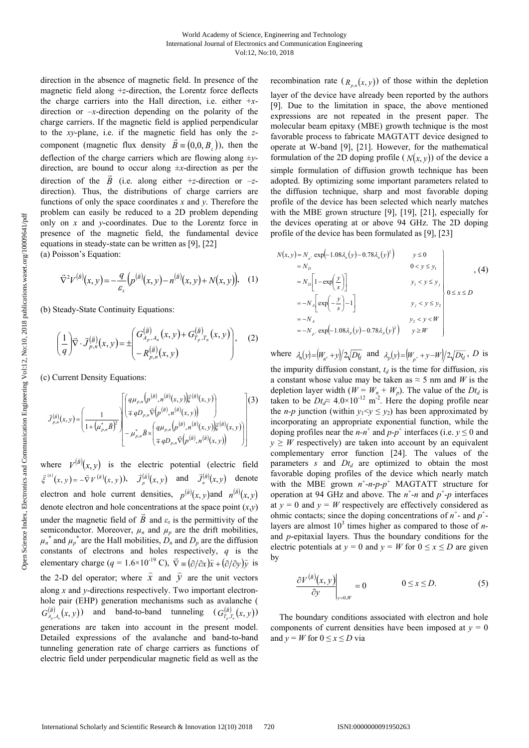direction in the absence of magnetic field. In presence of the magnetic field along +*z*-direction, the Lorentz force deflects the charge carriers into the Hall direction, i.e. either +*x*direction or –*x*-direction depending on the polarity of the charge carriers. If the magnetic field is applied perpendicular to the *xy*-plane, i.e. if the magnetic field has only the *z*component (magnetic flux density  $\vec{B} \equiv (0,0, B_z)$ ), then the deflection of the charge carriers which are flowing along ±*y*direction, are bound to occur along ±*x*-direction as per the direction of the *B* (i.e. along either +*z*-direction or  $-z$ direction). Thus, the distributions of charge carriers are functions of only the space coordinates *x* and *y*. Therefore the problem can easily be reduced to a 2D problem depending only on *x* and *y*-coordinates. Due to the Lorentz force in presence of the magnetic field, the fundamental device equations in steady-state can be written as [9], [22]

(a) Poisson's Equation:

$$
\vec{\nabla}^{2}V^{(\bar{B})}(x,y) = -\frac{q}{\varepsilon_{s}}\left(p^{(\bar{B})}(x,y) - n^{(\bar{B})}(x,y) + N(x,y)\right), \quad (1)
$$

(b) Steady-State Continuity Equations:

$$
\left(\frac{1}{q}\right) \vec{\nabla} \cdot \vec{J}^{(\vec{B})}_{p,n}(x,y) = \pm \begin{pmatrix} G^{(\vec{B})}_{A_p,A_n}(x,y) + G^{(\vec{B})}_{T_p,T_n}(x,y) \\ -R^{(\vec{B})}_{p,n}(x,y) \end{pmatrix}, \quad (2)
$$

(c) Current Density Equations:

$$
J_{p,n}^{(\bar{B})}(x,y) = \left(\frac{1}{1 + (\mu_{p,n}^*\bar{B})^2}\right) \left[\begin{pmatrix} q\mu_{p,n}\left(p^{(\bar{B})},n^{(\bar{B})}(x,y)\right)\xi^{(\bar{B})}(x,y) \\ \mp qD_{p,n}\bar{\nabla}\left(p^{(\bar{B})},n^{(\bar{B})}(x,y)\right) \\ -\mu_{p,n}^*\bar{B}\times\left(q\mu_{p,n}\left(p^{(\bar{B})},n^{(\bar{B})}(x,y)\right)\xi^{(\bar{B})}(x,y)\right) \end{pmatrix}\right] (3)
$$

where  $V^{(\bar{B})}(x, y)$  is the electric potential (electric field  $\bar{\zeta}^{(\bar{s})}(x, y) = -\bar{\nabla} V^{(\bar{s})}(x, y)$ ,  $\bar{J}_p^{(\bar{s})}(x, y)$  and  $\bar{J}_n^{(\bar{s})}(x, y)$  denote electron and hole current densities,  $p^{(\bar{B})}(x, y)$  and  $n^{(\bar{B})}(x, y)$ denote electron and hole concentrations at the space point (*x*,*y*) under the magnetic field of  $B$  and  $\varepsilon_s$  is the permittivity of the semiconductor. Moreover,  $\mu_n$  and  $\mu_p$  are the drift mobilities,  $\mu_n^*$  and  $\mu_p^*$  are the Hall mobilities,  $D_n$  and  $D_p$  are the diffusion constants of electrons and holes respectively, *q* is the elementary charge ( $q = 1.6 \times 10^{-19}$  C),  $\vec{\nabla} \equiv (\partial/\partial x)\hat{x} + (\partial/\partial y)\hat{y}$  is the 2-D del operator; where  $\hat{x}$  and  $\hat{y}$  are the unit vectors along *x* and *y*-directions respectively. Two important electronhole pair (EHP) generation mechanisms such as avalanche (  $G_{A_p, A_p}^{(\bar{B})}(x, y)$  and band-to-band tunneling  $(G_{T_p, T_n}^{(\bar{B})}(x, y))$ generations are taken into account in the present model. Detailed expressions of the avalanche and band-to-band tunneling generation rate of charge carriers as functions of electric field under perpendicular magnetic field as well as the

recombination rate  $(R_{n,n}(x, y))$  of those within the depletion layer of the device have already been reported by the authors [9]. Due to the limitation in space, the above mentioned expressions are not repeated in the present paper. The molecular beam epitaxy (MBE) growth technique is the most favorable process to fabricate MAGTATT device designed to operate at W-band [9], [21]. However, for the mathematical formulation of the 2D doping profile  $(N(x, y))$  of the device a simple formulation of diffusion growth technique has been adopted. By optimizing some important parameters related to the diffusion technique, sharp and most favorable doping profile of the device has been selected which nearly matches with the MBE grown structure [9], [19], [21], especially for the devices operating at or above 94 GHz. The 2D doping profile of the device has been formulated as [9], [23]

$$
N(x, y) = N_n \exp\left(-1.08\lambda_n(y) - 0.78\lambda_n(y)^2\right) \qquad y \le 0
$$
  
\n
$$
= N_D \left[1 - \exp\left(\frac{y}{s}\right)\right] \qquad y_1 < y \le y_1
$$
  
\n
$$
= -N_n \left[\exp\left(-\frac{y}{s}\right) - 1\right] \qquad y_1 < y \le y_2
$$
  
\n
$$
= -N_n \exp\left(-1.08\lambda_n(y) - 0.78\lambda_n(y)^2\right) \qquad y \ge W
$$
  
\n
$$
= -N_p \exp\left(-1.08\lambda_n(y) - 0.78\lambda_n(y)^2\right) \qquad y \ge W
$$

where  $\lambda_n(y) = (W_{n^*} + y)/2\sqrt{Dt_q}$  and  $\lambda_p(y) = (W_{p^*} + y - W)/2\sqrt{Dt_q}$ , *D* is the impurity diffusion constant,  $t_d$  is the time for diffusion, *sis* a constant whose value may be taken as  $\approx$  5 nm and *W* is the depletion layer width  $(W = W_n + W_p)$ . The value of the *Dt<sub>d</sub>* is taken to be  $Dt_d \approx 4.0 \times 10^{-12}$  m<sup>-2</sup>. Here the doping profile near the *n-p* junction (within  $y_1 < y \le y_2$ ) has been approximated by incorporating an appropriate exponential function, while the doping profiles near the  $n-n^+$  and  $p-p^+$  interfaces (i.e.  $y \le 0$  and  $y \geq W$  respectively) are taken into account by an equivalent complementary error function [24]. The values of the parameters *s* and  $Dt<sub>d</sub>$  are optimized to obtain the most favorable doping profiles of the device which nearly match with the MBE grown  $n^+$ - $n$ - $p$ - $p^+$  MAGTATT structure for operation at 94 GHz and above. The  $n^{\dagger}$ -*n* and  $p^{\dagger}$ -*p* interfaces at  $y = 0$  and  $y = W$  respectively are effectively considered as ohmic contacts; since the doping concentrations of  $n^+$ - and  $p^+$ layers are almost  $10^3$  times higher as compared to those of *n*and *p*-epitaxial layers. Thus the boundary conditions for the electric potentials at  $y = 0$  and  $y = W$  for  $0 \le x \le D$  are given by

$$
\left. \frac{\partial V^{(\bar{B})}(x, y)}{\partial y} \right|_{y=0, W} = 0 \qquad \qquad 0 \le x \le D. \tag{5}
$$

The boundary conditions associated with electron and hole components of current densities have been imposed at  $y = 0$ and  $y = W$  for  $0 \le x \le D$  via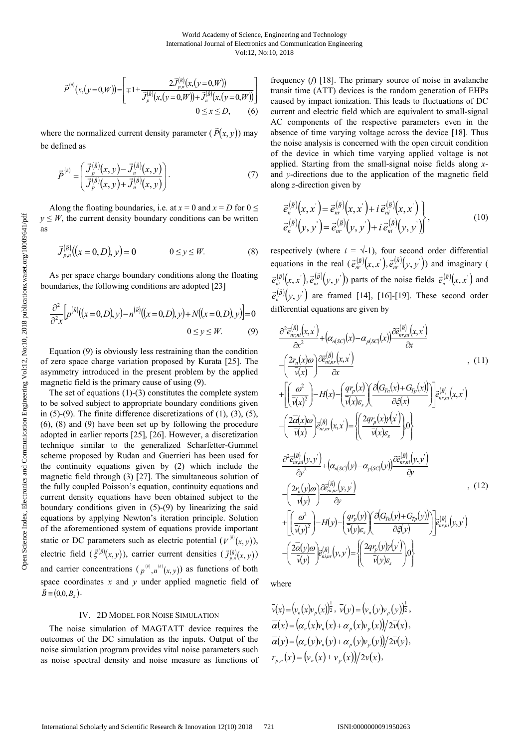$$
\overline{P}^{(\overline{a})}(x,(y=0,W)) = \left[ \mp 1 \pm \frac{2 \overline{J}_{p,n}^{(\overline{a})}(x,(y=0,W))}{\overline{J}_p^{(\overline{a})}(x,(y=0,W)) + \overline{J}_n^{(\overline{a})}(x,(y=0,W))} \right]
$$
  
0 \le x \le D, (6)

where the normalized current density parameter  $(\vec{P}(x, y))$  may be defined as

$$
\vec{P}^{(\vec{a})} = \left(\frac{\vec{J}^{(\vec{a})}_p(x, y) - \vec{J}^{(\vec{a})}_n(x, y)}{\vec{J}^{(\vec{a})}_p(x, y) + \vec{J}^{(\vec{a})}_n(x, y)}\right).
$$
(7)

Along the floating boundaries, i.e. at  $x = 0$  and  $x = D$  for  $0 \leq$  $y \leq W$ , the current density boundary conditions can be written as

$$
\vec{J}_{p,n}^{(\vec{B})}\big((x=0,D),y\big)=0 \qquad \qquad 0 \le y \le W. \tag{8}
$$

As per space charge boundary conditions along the floating boundaries, the following conditions are adopted [23]

$$
\frac{\partial^2}{\partial^2 x} \Big[ p^{(\bar{B})} \big( (x = 0, D), y \big) - n^{(\bar{B})} \big( (x = 0, D), y \big) + N \big( (x = 0, D), y \big) \Big] = 0
$$
  
0 \le y \le W. (9)

Equation (9) is obviously less restraining than the condition of zero space charge variation proposed by Kurata [25]. The asymmetry introduced in the present problem by the applied magnetic field is the primary cause of using (9).

The set of equations (1)-(3) constitutes the complete system to be solved subject to appropriate boundary conditions given in  $(5)-(9)$ . The finite difference discretizations of  $(1)$ ,  $(3)$ ,  $(5)$ , (6), (8) and (9) have been set up by following the procedure adopted in earlier reports [25], [26]. However, a discretization technique similar to the generalized Scharfetter-Gummel scheme proposed by Rudan and Guerrieri has been used for the continuity equations given by (2) which include the magnetic field through (3) [27]. The simultaneous solution of the fully coupled Poisson's equation, continuity equations and current density equations have been obtained subject to the boundary conditions given in (5)-(9) by linearizing the said equations by applying Newton's iteration principle. Solution of the aforementioned system of equations provide important static or DC parameters such as electric potential  $(V^{(\tilde{s})}(x, y))$ , electric field  $(\xi^{(\bar{B})}(x, y))$ , carrier current densities  $(\mathcal{J}_{p,n}^{(\bar{B})}(x, y))$ and carrier concentrations  $(p^{(i)}, n^{(i)}(x, y))$  as functions of both space coordinates *x* and *y* under applied magnetic field of  $\vec{B} \equiv (0,0,B)$ .

## IV. 2D MODEL FOR NOISE SIMULATION

The noise simulation of MAGTATT device requires the outcomes of the DC simulation as the inputs. Output of the noise simulation program provides vital noise parameters such as noise spectral density and noise measure as functions of frequency (*f*) [18]. The primary source of noise in avalanche transit time (ATT) devices is the random generation of EHPs caused by impact ionization. This leads to fluctuations of DC current and electric field which are equivalent to small-signal AC components of the respective parameters even in the absence of time varying voltage across the device [18]. Thus the noise analysis is concerned with the open circuit condition of the device in which time varying applied voltage is not applied. Starting from the small-signal noise fields along *x*and *y*-directions due to the application of the magnetic field along *z*-direction given by

$$
\begin{aligned}\n\vec{e}_n^{(\vec{B})}\!(x,x^{\cdot}) &= \vec{e}_{nr}^{(\vec{B})}\!(x,x^{\cdot}) + i \,\vec{e}_{ni}^{(\vec{B})}\!(x,x^{\cdot}) \\
\vec{e}_n^{(\vec{B})}\!(y,y^{\cdot}) &= \vec{e}_{nr}^{(\vec{B})}\!(y,y^{\cdot}) + i \,\vec{e}_{ni}^{(\vec{B})}\!(y,y^{\cdot})\n\end{aligned} \tag{10}
$$

respectively (where  $i = \sqrt{-1}$ ), four second order differential equations in the real  $(\vec{e}_{nr}^{(\vec{B})}(x, x), \vec{e}_{nr}^{(\vec{B})}(y, y))$  and imaginary (  $\vec{e}_{ni}^{(\vec{B})}(x, x^{\cdot}), \vec{e}_{ni}^{(\vec{B})}(y, y^{\cdot})$  parts of the noise fields  $\vec{e}_{n}^{(\vec{B})}(x, x^{\cdot})$  and  $\vec{e}_n^{(\vec{B})}(y, y)$  are framed [14], [16]-[19]. These second order differential equations are given by

$$
\frac{\partial^2 \bar{e}_{n_r,m}^{(\bar{B})}(x,x')}{\partial x^2} + (\alpha_{n(SC)}(x) - \alpha_{p(SC)}(x)) \frac{\partial \bar{e}_{n_r,m}^{(\bar{B})}(x,x')}{\partial x}
$$
\n
$$
- \left(\frac{2r_n(x)\omega}{\bar{v}(x)}\right) \frac{\partial \bar{e}_{n_r,m}^{(\bar{B})}(x,x')}{\partial x}
$$
\n
$$
+ \left[\left(\frac{\omega^2}{\bar{v}(x)}\right) - H(x) - \left(\frac{qr_p(x)}{\bar{v}(x)}\right) \frac{\partial (G_{T,n}(x) + G_{T,p}(x))}{\partial \zeta(x)}\right] \bar{e}_{n_r,m}^{(\bar{B})}(x,x')
$$
\n
$$
- \left(\frac{2\bar{\alpha}(x)\omega}{\bar{v}(x)}\right) \bar{e}_{n_r,m}^{(\bar{B})}(x,x') = \left\{\left(\frac{2qr_p(x)r(x')}{\bar{v}(x)\epsilon_s}\right)\right\}
$$
\n
$$
\frac{\partial^2 \bar{e}_{n_r,m}^{(\bar{B})}(y,y')}{\partial y^2} + (\alpha_{n(SC)}(y) - \alpha_{p(SC)}(y)) \frac{\partial \bar{e}_{n_r,m}^{(\bar{B})}(y,y')}{\partial y}
$$
\n
$$
- \left(\frac{2r_n(y)\omega}{\bar{v}(y)}\right) \frac{\partial \bar{e}_{n_r,m}^{(\bar{B})}(y,y')}{\partial y}
$$
\n
$$
+ \left[\left(\frac{\omega^2}{\bar{v}(y)^2}\right) - H(y) - \left(\frac{qr_p(y)}{\bar{v}(y)\epsilon_s}\right) \frac{\partial (G_{T,n}(y) + G_{T,p}(y))}{\partial \zeta(y)}\right] \bar{e}_{n_r,m}^{(\bar{B})}(y,y')
$$
\n
$$
- \left(\frac{2\bar{\alpha}(y)\omega}{\bar{v}(y)}\right) \bar{e}_{n_r,m}^{(\bar{B})}(y,y') = \left\{\left(\frac{2qr_p(y)r(y')}{\bar{v}(y)\epsilon_s}\right) \omega\right\}
$$
\n(12)

where

 $\overline{v}(x) = (v_n(x)v_p(x))^{\frac{1}{2}}, \overline{v}(y) = (v_n(y)v_p(y))^{\frac{1}{2}},$  $\overline{\alpha}(x) = (\alpha_n(x)v_n(x) + \alpha_n(x)v_n(x))/2\overline{v}(x)$ ,  $\overline{\alpha}(y) = (\alpha_n(y)v_n(y) + \alpha_n(y)v_n(y))/2\overline{v}(y),$  $r_{n,n}(x) = (v_n(x) \pm v_n(x))/2\overline{v}(x),$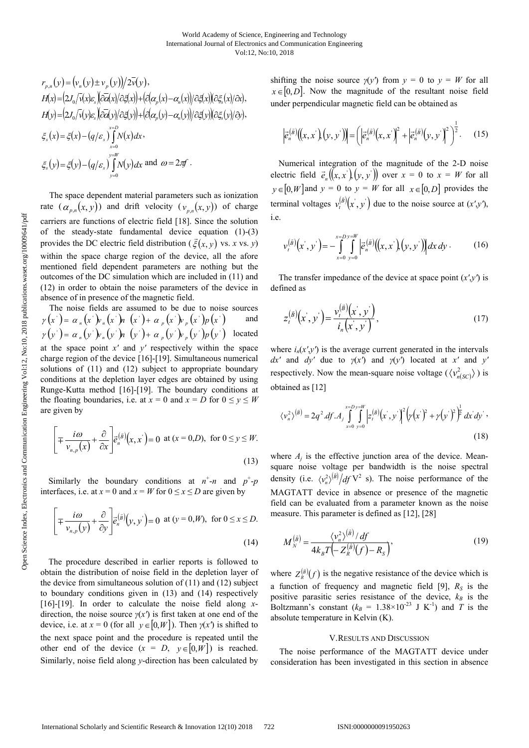$$
r_{p,n}(y) = (\nu_n(y) \pm \nu_p(y))/2\overline{\nu}(y),
$$
  
\n
$$
H(x) = (2J_0/\overline{\nu}(x)\varepsilon_s)(\overline{\partial a}(x)/\partial \xi(x)) + (\overline{\partial}(\alpha_p(x) - \alpha_n(x))/\partial \xi(x))(\partial \xi_s(x)/\partial x),
$$
  
\n
$$
H(y) = (2J_0/\overline{\nu}(y)\varepsilon_s)(\overline{\partial a}(y)/\partial \xi(y)) + (\overline{\partial}(\alpha_p(y) - \alpha_n(y))/\partial \xi(y))(\partial \xi_s(y)/\partial y),
$$
  
\n
$$
\xi_s(x) = \xi(x) - (q/\varepsilon_s) \int_{y=0}^{x=D} N(x)dx,
$$
  
\n
$$
\xi_s(y) = \xi(y) - (q/\varepsilon_s) \int_{y=0}^{y=W} N(y)dx \text{ and } \omega = 2\pi f.
$$

The space dependent material parameters such as ionization rate  $(\alpha_{p,n}(x, y))$  and drift velocity  $(\nu_{p,n}(x, y))$  of charge carriers are functions of electric field [18]. Since the solution of the steady-state fundamental device equation (1)-(3) provides the DC electric field distribution ( $\vec{\xi}(x, y)$  vs. *x* vs. *y*) within the space charge region of the device, all the afore mentioned field dependent parameters are nothing but the outcomes of the DC simulation which are included in (11) and (12) in order to obtain the noise parameters of the device in absence of in presence of the magnetic field.

The noise fields are assumed to be due to noise sources  $\gamma(x') = \alpha_n(x')v_n(x')h_n(x') + \alpha_n(x')v_n(x')p(x')$  and  $y(y') = \alpha_n(y) y_n(y) + \alpha_n(y) y_n(y) p(y)$  located at the space point *x'* and *y'* respectively within the space charge region of the device [16]-[19]. Simultaneous numerical solutions of (11) and (12) subject to appropriate boundary conditions at the depletion layer edges are obtained by using Runge-Kutta method [16]-[19]. The boundary conditions at the floating boundaries, i.e. at  $x = 0$  and  $x = D$  for  $0 \le y \le W$ are given by

$$
\left[ \pm \frac{i\omega}{v_{n,p}(x)} + \frac{\partial}{\partial x} \right] \vec{e}_n^{(\vec{B})}(x, x^{\cdot}) = 0 \text{ at } (x = 0, D), \text{ for } 0 \le y \le W. \tag{13}
$$

Similarly the boundary conditions at  $n^{\dagger}$ -*n* and  $p^{\dagger}$ -*p* interfaces, i.e. at  $x = 0$  and  $x = W$  for  $0 \le x \le D$  are given by

$$
\left[\mp \frac{i\omega}{v_{n,p}(y)} + \frac{\partial}{\partial y}\right] \vec{e}_n^{(\vec{B})}(y, y') = 0 \text{ at } (y = 0, W), \text{ for } 0 \le x \le D.
$$
\n(14)

The procedure described in earlier reports is followed to obtain the distribution of noise field in the depletion layer of the device from simultaneous solution of (11) and (12) subject to boundary conditions given in (13) and (14) respectively [16]-[19]. In order to calculate the noise field along *x*direction, the noise source *γ*(*x'*) is first taken at one end of the device, i.e. at  $x = 0$  (for all  $y \in [0, W]$ ). Then  $y(x')$  is shifted to the next space point and the procedure is repeated until the other end of the device  $(x = D, y \in [0, W])$  is reached. Similarly, noise field along *y*-direction has been calculated by shifting the noise source  $\gamma(y')$  from  $y = 0$  to  $y = W$  for all  $x \in [0, D]$ . Now the magnitude of the resultant noise field under perpendicular magnetic field can be obtained as

$$
\left|\vec{e}_n^{(\vec{B})}\!\!\left(\!\left(x,x^{'}\right)\!\left(y,y^{'}\right)\!\right)\!\right| = \!\left(\left|\vec{e}_n^{(\vec{B})}\!\!\left(x,x^{'}\right)\!\right|^2 + \left|\vec{e}_n^{(\vec{B})}\!\!\left(y,y^{'}\right)\!\right|^2\right)^{\frac{1}{2}}.\tag{15}
$$

Numerical integration of the magnitude of the 2-D noise electric field  $\vec{e}_n((x, x^{\prime}) (y, y^{\prime}))$  over  $x = 0$  to  $x = W$  for all  $y \in [0, W]$  and  $y = 0$  to  $y = W$  for all  $x \in [0, D]$  provides the terminal voltages  $v_t^{(B)}(x, y)$  $\overline{B}(\vec{x}, \vec{y})$  due to the noise source at  $(\vec{x}, \vec{y})$ , i.e.

$$
v_t^{(\bar{B})}(x', y') = -\int_{x=0}^{x=D} \int_{y=0}^{y=W} \left| \vec{e}_n^{(\bar{B})}((x, x'), (y, y')) \right| dx dy.
$$
 (16)

The transfer impedance of the device at space point  $(x', y')$  is defined as

$$
z_{t}^{(\bar{B})}(x^{\cdot},y^{\cdot}) = \frac{v_{t}^{(\bar{B})}(x^{\cdot},y^{\cdot})}{i_{n}(x^{\cdot},y^{\cdot})},
$$
\n(17)

where  $i_n(x',y')$  is the average current generated in the intervals *dx'* and *dy'* due to  $γ(x')$  and  $γ(y')$  located at *x'* and *y'* respectively. Now the mean-square noise voltage  $({\langle v_{n(SC)}^2 \rangle})$  is obtained as [12]

$$
\langle v_n^2 \rangle^{(\bar{B})} = 2q^2 \, df \, . \, A_j \int_{x=0}^{x=Dy=W} \left| z_i^{(\bar{B})} \left( x^{\cdot}, y^{\cdot} \right) \right|^2 \left( \gamma \left( x^{\cdot} \right)^2 + \gamma \left( y^{\cdot} \right)^2 \right)^{\frac{1}{2}} dx^{\cdot} dy^{\cdot} \,, \tag{18}
$$

where  $A_i$  is the effective junction area of the device. Meansquare noise voltage per bandwidth is the noise spectral density (i.e.  $\langle v_n^2 \rangle^{(B)}/dt$  $\langle v_n^2 \rangle \overline{d}f \overline{V^2}$  s). The noise performance of the MAGTATT device in absence or presence of the magnetic field can be evaluated from a parameter known as the noise measure. This parameter is defined as [12], [28]

$$
M_N^{(\bar{B})} = \frac{\langle v_n^2 \rangle^{(\bar{B})} / df}{4k_B T \left( -Z_R^{(\bar{B})}(f) - R_S \right)},
$$
(19)

where  $Z_R^{(\tilde{B})}(f)$  $\bar{f}(\hat{f})$  is the negative resistance of the device which is a function of frequency and magnetic field [9],  $R_S$  is the positive parasitic series resistance of the device,  $k_B$  is the Boltzmann's constant  $(k_B = 1.38 \times 10^{-23} \text{ J K}^{-1})$  and *T* is the absolute temperature in Kelvin (K).

#### V.RESULTS AND DISCUSSION

The noise performance of the MAGTATT device under consideration has been investigated in this section in absence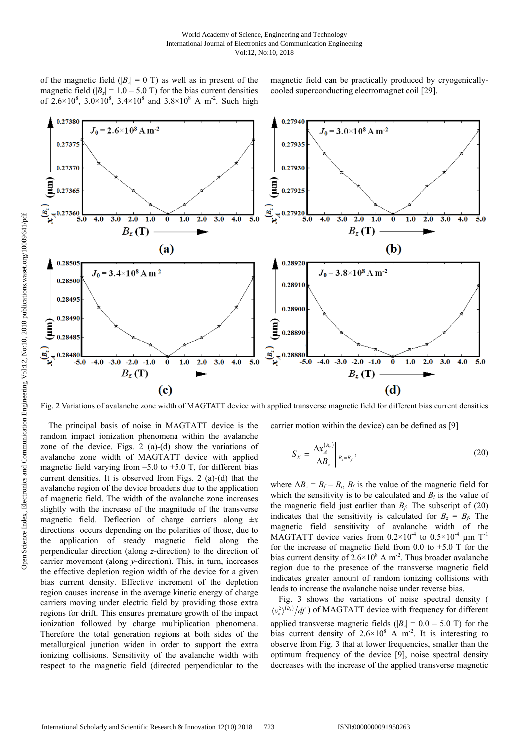of the magnetic field ( $|B_z| = 0$  T) as well as in present of the magnetic field ( $|B_z| = 1.0 - 5.0$  T) for the bias current densities of 2.6×10<sup>8</sup>, 3.0×10<sup>8</sup>, 3.4×10<sup>8</sup> and 3.8×10<sup>8</sup> A m<sup>-2</sup>. Such high magnetic field can be practically produced by cryogenicallycooled superconducting electromagnet coil [29].



Fig. 2 Variations of avalanche zone width of MAGTATT device with applied transverse magnetic field for different bias current densities

The principal basis of noise in MAGTATT device is the random impact ionization phenomena within the avalanche zone of the device. Figs. 2 (a)-(d) show the variations of avalanche zone width of MAGTATT device with applied magnetic field varying from  $-5.0$  to  $+5.0$  T, for different bias current densities. It is observed from Figs. 2 (a)-(d) that the avalanche region of the device broadens due to the application of magnetic field. The width of the avalanche zone increases slightly with the increase of the magnitude of the transverse magnetic field. Deflection of charge carriers along ±*x* directions occurs depending on the polarities of those, due to the application of steady magnetic field along the perpendicular direction (along *z*-direction) to the direction of carrier movement (along *y*-direction). This, in turn, increases the effective depletion region width of the device for a given bias current density. Effective increment of the depletion region causes increase in the average kinetic energy of charge carriers moving under electric field by providing those extra regions for drift. This ensures premature growth of the impact ionization followed by charge multiplication phenomena. Therefore the total generation regions at both sides of the metallurgical junction widen in order to support the extra ionizing collisions. Sensitivity of the avalanche width with respect to the magnetic field (directed perpendicular to the carrier motion within the device) can be defined as [9]

$$
S_X = \left| \frac{\Delta x_A^{(B_z)}}{\Delta B_z} \right|_{B_z = B_f},
$$
\n(20)

where  $\Delta B_z = B_f - B_i$ ,  $B_f$  is the value of the magnetic field for which the sensitivity is to be calculated and  $B_i$  is the value of the magnetic field just earlier than  $B_f$ . The subscript of (20) indicates that the sensitivity is calculated for  $B_z = B_f$ . The magnetic field sensitivity of avalanche width of the MAGTATT device varies from  $0.2 \times 10^{-4}$  to  $0.5 \times 10^{-4}$  µm T<sup>-1</sup> for the increase of magnetic field from 0.0 to  $\pm$ 5.0 T for the bias current density of  $2.6 \times 10^8$  A m<sup>-2</sup>. Thus broader avalanche region due to the presence of the transverse magnetic field indicates greater amount of random ionizing collisions with leads to increase the avalanche noise under reverse bias.

Fig. 3 shows the variations of noise spectral density (  $\langle v_n^2 \rangle^{(B_2)} / df$  ) of MAGTATT device with frequency for different applied transverse magnetic fields  $(|B_z| = 0.0 - 5.0$  T) for the bias current density of  $2.6 \times 10^8$  A m<sup>-2</sup>. It is interesting to observe from Fig. 3 that at lower frequencies, smaller than the optimum frequency of the device [9], noise spectral density decreases with the increase of the applied transverse magnetic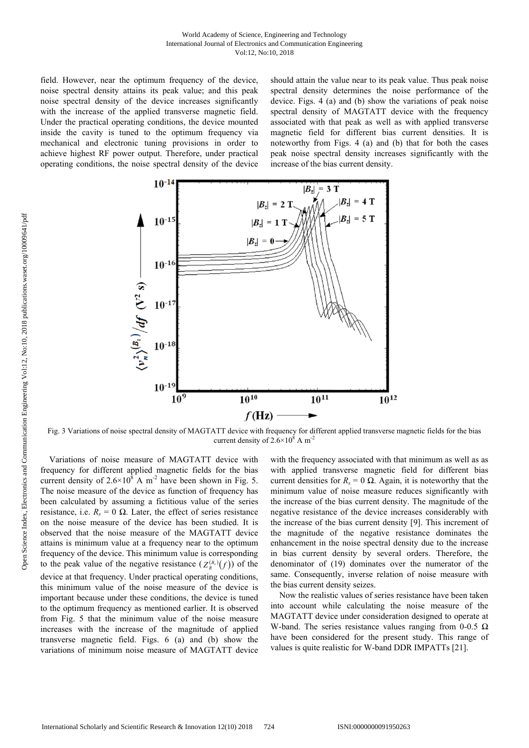#### World Academy of Science, Engineering and Technology International Journal of Electronics and Communication Engineering Vol:12, No:10, 2018

field. However, near the optimum frequency of the device, noise spectral density attains its peak value; and this peak noise spectral density of the device increases significantly with the increase of the applied transverse magnetic field. Under the practical operating conditions, the device mounted inside the cavity is tuned to the optimum frequency via mechanical and electronic tuning provisions in order to achieve highest RF power output. Therefore, under practical operating conditions, the noise spectral density of the device

should attain the value near to its peak value. Thus peak noise spectral density determines the noise performance of the device. Figs. 4 (a) and (b) show the variations of peak noise spectral density of MAGTATT device with the frequency associated with that peak as well as with applied transverse magnetic field for different bias current densities. It is noteworthy from Figs. 4 (a) and (b) that for both the cases peak noise spectral density increases significantly with the increase of the bias current density.



Fig. 3 Variations of noise spectral density of MAGTATT device with frequency for different applied transverse magnetic fields for the bias current density of  $2.6 \times 10^8$  A m<sup>-2</sup>

Variations of noise measure of MAGTATT device with frequency for different applied magnetic fields for the bias current density of  $2.6 \times 10^8$  A m<sup>-2</sup> have been shown in Fig. 5. The noise measure of the device as function of frequency has been calculated by assuming a fictitious value of the series resistance, i.e.  $R_s = 0$  Ω. Later, the effect of series resistance on the noise measure of the device has been studied. It is observed that the noise measure of the MAGTATT device attains is minimum value at a frequency near to the optimum frequency of the device. This minimum value is corresponding to the peak value of the negative resistance  $(Z_R^{(B_2)}(f))$  of the device at that frequency. Under practical operating conditions, this minimum value of the noise measure of the device is important because under these conditions, the device is tuned to the optimum frequency as mentioned earlier. It is observed from Fig. 5 that the minimum value of the noise measure increases with the increase of the magnitude of applied transverse magnetic field. Figs. 6 (a) and (b) show the variations of minimum noise measure of MAGTATT device

with the frequency associated with that minimum as well as as with applied transverse magnetic field for different bias current densities for  $R_s = 0 \Omega$ . Again, it is noteworthy that the minimum value of noise measure reduces significantly with the increase of the bias current density. The magnitude of the negative resistance of the device increases considerably with the increase of the bias current density [9]. This increment of the magnitude of the negative resistance dominates the enhancement in the noise spectral density due to the increase in bias current density by several orders. Therefore, the denominator of (19) dominates over the numerator of the same. Consequently, inverse relation of noise measure with the bias current density seizes.

Now the realistic values of series resistance have been taken into account while calculating the noise measure of the MAGTATT device under consideration designed to operate at W-band. The series resistance values ranging from 0-0.5  $\Omega$ have been considered for the present study. This range of values is quite realistic for W-band DDR IMPATTs [21].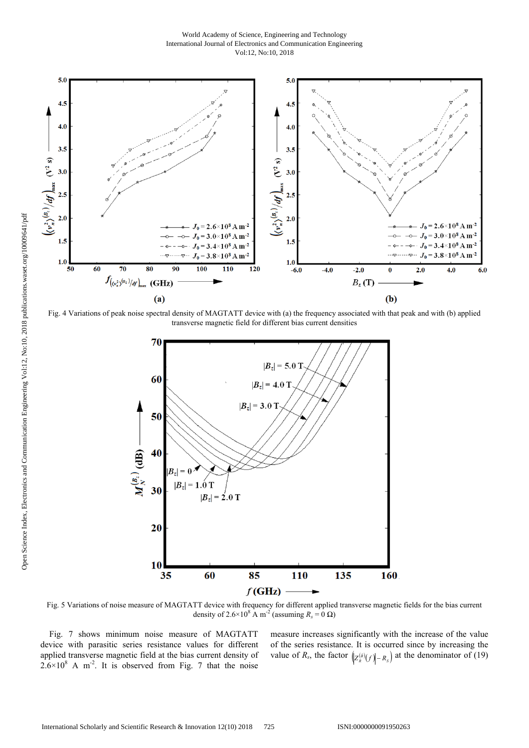World Academy of Science, Engineering and Technology International Journal of Electronics and Communication Engineering Vol:12, No:10, 2018



Fig. 4 Variations of peak noise spectral density of MAGTATT device with (a) the frequency associated with that peak and with (b) applied transverse magnetic field for different bias current densities



Fig. 5 Variations of noise measure of MAGTATT device with frequency for different applied transverse magnetic fields for the bias current density of 2.6×10<sup>8</sup> A m<sup>-2</sup> (assuming  $R_s = 0 \Omega$ )

Fig. 7 shows minimum noise measure of MAGTATT device with parasitic series resistance values for different applied transverse magnetic field at the bias current density of  $2.6 \times 10^8$  A m<sup>-2</sup>. It is observed from Fig. 7 that the noise measure increases significantly with the increase of the value of the series resistance. It is occurred since by increasing the value of *R<sub>s</sub>*, the factor  $\left(\frac{Z^{(\bar{B})}}{R}(f)\right) - R_s$  at the denominator of (19)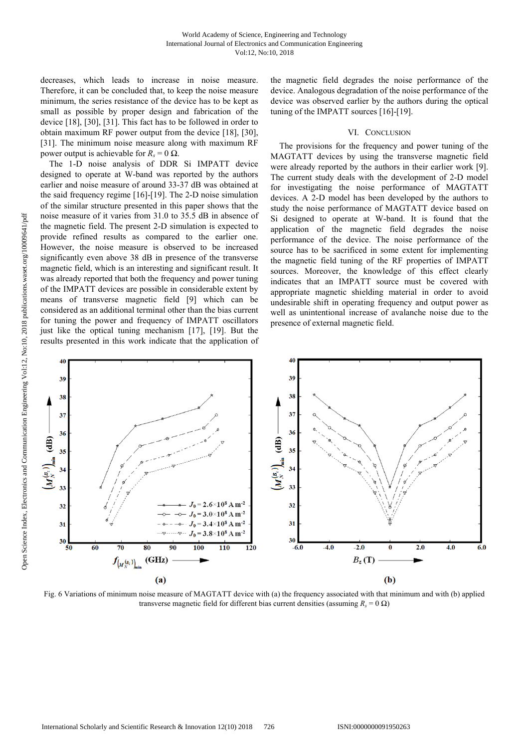decreases, which leads to increase in noise measure. Therefore, it can be concluded that, to keep the noise measure minimum, the series resistance of the device has to be kept as small as possible by proper design and fabrication of the device [18], [30], [31]. This fact has to be followed in order to obtain maximum RF power output from the device [18], [30], [31]. The minimum noise measure along with maximum RF power output is achievable for  $R_s = 0$  Ω.

The 1-D noise analysis of DDR Si IMPATT device designed to operate at W-band was reported by the authors earlier and noise measure of around 33-37 dB was obtained at the said frequency regime [16]-[19]. The 2-D noise simulation of the similar structure presented in this paper shows that the noise measure of it varies from 31.0 to 35.5 dB in absence of the magnetic field. The present 2-D simulation is expected to provide refined results as compared to the earlier one. However, the noise measure is observed to be increased significantly even above 38 dB in presence of the transverse magnetic field, which is an interesting and significant result. It was already reported that both the frequency and power tuning of the IMPATT devices are possible in considerable extent by means of transverse magnetic field [9] which can be considered as an additional terminal other than the bias current for tuning the power and frequency of IMPATT oscillators just like the optical tuning mechanism [17], [19]. But the results presented in this work indicate that the application of the magnetic field degrades the noise performance of the device. Analogous degradation of the noise performance of the device was observed earlier by the authors during the optical tuning of the IMPATT sources [16]-[19].

# VI. CONCLUSION

The provisions for the frequency and power tuning of the MAGTATT devices by using the transverse magnetic field were already reported by the authors in their earlier work [9]. The current study deals with the development of 2-D model for investigating the noise performance of MAGTATT devices. A 2-D model has been developed by the authors to study the noise performance of MAGTATT device based on Si designed to operate at W-band. It is found that the application of the magnetic field degrades the noise performance of the device. The noise performance of the source has to be sacrificed in some extent for implementing the magnetic field tuning of the RF properties of IMPATT sources. Moreover, the knowledge of this effect clearly indicates that an IMPATT source must be covered with appropriate magnetic shielding material in order to avoid undesirable shift in operating frequency and output power as well as unintentional increase of avalanche noise due to the presence of external magnetic field.



Fig. 6 Variations of minimum noise measure of MAGTATT device with (a) the frequency associated with that minimum and with (b) applied transverse magnetic field for different bias current densities (assuming  $R_s = 0 \Omega$ )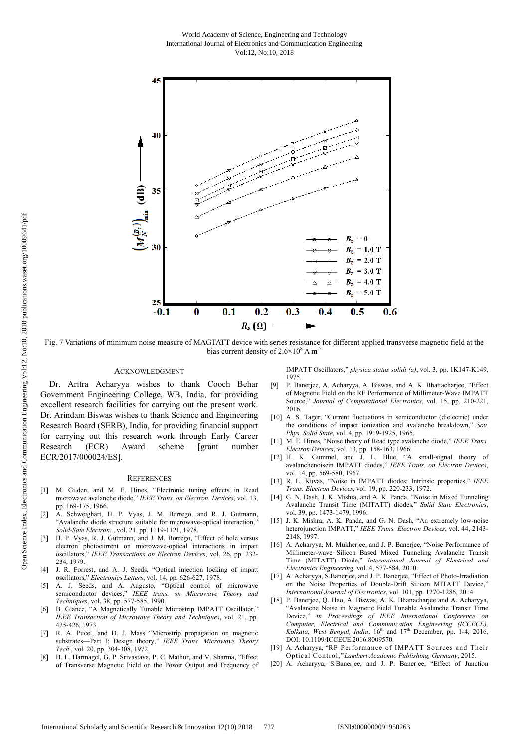World Academy of Science, Engineering and Technology International Journal of Electronics and Communication Engineering Vol:12, No:10, 2018



Fig. 7 Variations of minimum noise measure of MAGTATT device with series resistance for different applied transverse magnetic field at the bias current density of  $2.6 \times 10^8$  A m<sup>-2</sup>

#### ACKNOWLEDGMENT

Dr. Aritra Acharyya wishes to thank Cooch Behar Government Engineering College, WB, India, for providing excellent research facilities for carrying out the present work. Dr. Arindam Biswas wishes to thank Science and Engineering Research Board (SERB), India, for providing financial support for carrying out this research work through Early Career Research (ECR) Award scheme [grant number ECR/2017/000024/ES].

#### **REFERENCES**

- [1] M. Gilden, and M. E. Hines, "Electronic tuning effects in Read microwave avalanche diode," *IEEE Trans. on Electron. Devices*, vol. 13, pp. 169-175, 1966.
- [2] A. Schweighart, H. P. Vyas, J. M. Borrego, and R. J. Gutmann, "Avalanche diode structure suitable for microwave-optical interaction," *Solid-Sate Electron.* , vol. 21, pp. 1119-1121, 1978.
- H. P. Vyas, R. J. Gutmann, and J. M. Borrego, "Effect of hole versus electron photocurrent on microwave-optical interactions in impatt oscillators," *IEEE Transactions on Electron Devices*, vol. 26, pp. 232- 234, 1979.
- [4] J. R. Forrest, and A. J. Seeds, "Optical injection locking of impatt oscillators," *Electronics Letters*, vol. 14, pp. 626-627, 1978.
- [5] A. J. Seeds, and A. Augusto, "Optical control of microwave semiconductor devices," *IEEE trans. on Microwave Theory and Techniques*, vol. 38, pp. 577-585, 1990.
- [6] B. Glance, "A Magnetically Tunable Microstrip IMPATT Oscillator," *IEEE Transaction of Microwave Theory and Techniques*, vol. 21, pp. 425-426, 1973.
- [7] R. A. Pucel, and D. J. Mass "Microstrip propagation on magnetic substrates—Part I: Design theory," *IEEE Trans. Microwave Theory Tech*., vol. 20, pp. 304-308, 1972.
- [8] H. L. Hartnagel, G. P. Srivastava, P. C. Mathur, and V. Sharma, "Effect of Transverse Magnetic Field on the Power Output and Frequency of

IMPATT Oscillators," *physica status solidi (a)*, vol. 3, pp. 1K147-K149, 1975.

- [9] P. Banerjee, A. Acharyya, A. Biswas, and A. K. Bhattacharjee, "Effect of Magnetic Field on the RF Performance of Millimeter-Wave IMPATT Source," *Journal of Computational Electronics*, vol. 15, pp. 210-221, 2016.
- [10] A. S. Tager, "Current fluctuations in semiconductor (dielectric) under the conditions of impact ionization and avalanche breakdown," *Sov. Phys. Solid State*, vol. 4, pp. 1919-1925, 1965.
- [11] M. E. Hines, "Noise theory of Read type avalanche diode," *IEEE Trans. Electron Devices*, vol. 13, pp. 158-163, 1966.
- [12] H. K. Gummel, and J. L. Blue, "A small-signal theory of avalanchenoisein IMPATT diodes," *IEEE Trans. on Electron Devices*, vol. 14, pp. 569-580, 1967.
- [13] R. L. Kuvas, "Noise in IMPATT diodes: Intrinsic properties," *IEEE Trans. Electron Devices*, vol. 19, pp. 220-233, 1972.
- [14] G. N. Dash, J. K. Mishra, and A. K. Panda, "Noise in Mixed Tunneling Avalanche Transit Time (MITATT) diodes," *Solid State Electronics*, vol. 39, pp. 1473-1479, 1996.
- [15] J. K. Mishra, A. K. Panda, and G. N. Dash, "An extremely low-noise heterojunction IMPATT," *IEEE Trans. Electron Devices*, vol. 44, 2143- 2148, 1997.
- [16] A. Acharyya, M. Mukherjee, and J. P. Banerjee, "Noise Performance of Millimeter-wave Silicon Based Mixed Tunneling Avalanche Transit Time (MITATT) Diode," *International Journal of Electrical and Electronics Engineering*, vol. 4, 577-584, 2010.
- [17] A. Acharyya, S.Banerjee, and J. P. Banerjee, "Effect of Photo-Irradiation on the Noise Properties of Double-Drift Silicon MITATT Device," *International Journal of Electronics*, vol. 101, pp. 1270-1286, 2014.
- [18] P. Banerjee, Q. Hao, A. Biswas, A. K. Bhattacharjee and A. Acharyya, "Avalanche Noise in Magnetic Field Tunable Avalanche Transit Time Device," *in Proceedings of IEEE International Conference on Computer, Electrical and Communication Engineering (ICCECE), Kolkata, West Bengal, India*, 16th and 17th December, pp. 1-4, 2016, DOI: 10.1109/ICCECE.2016.8009570.
- [19] A. Acharyya, "RF Performance of IMPATT Sources and Their Optical Control,"*Lambert Academic Publishing, Germany*, 2015.
- [20] A. Acharyya, S.Banerjee, and J. P. Banerjee, "Effect of Junction